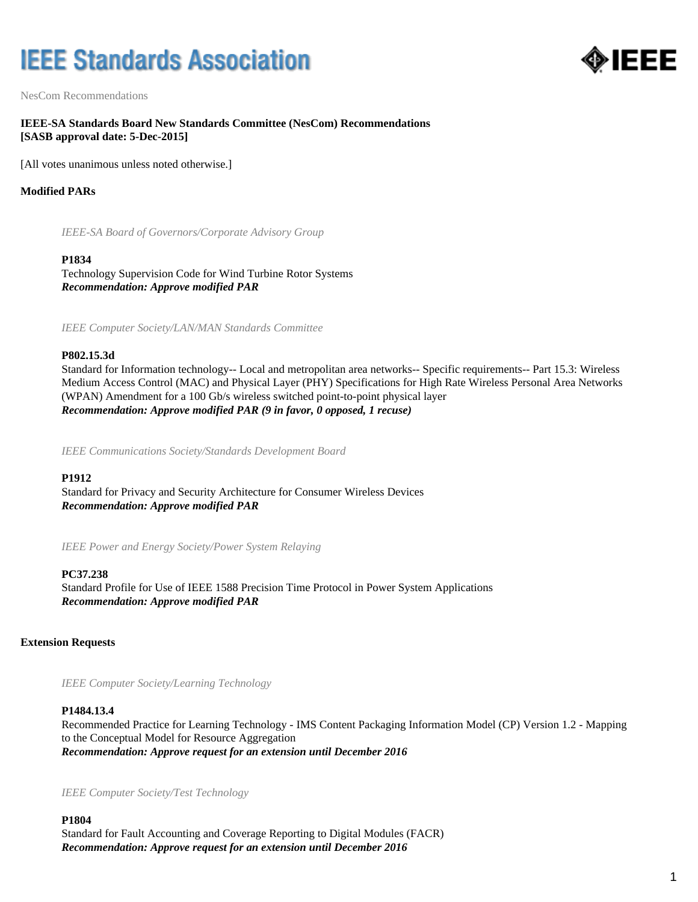# **IEEE Standards Association**



NesCom Recommendations

#### **IEEE-SA Standards Board New Standards Committee (NesCom) Recommendations [SASB approval date: 5-Dec-2015]**

[All votes unanimous unless noted otherwise.]

#### **Modified PARs**

*IEEE-SA Board of Governors/Corporate Advisory Group*

#### **P1834**

Technology Supervision Code for Wind Turbine Rotor Systems *Recommendation: Approve modified PAR*

*IEEE Computer Society/LAN/MAN Standards Committee*

#### **P802.15.3d**

Standard for Information technology-- Local and metropolitan area networks-- Specific requirements-- Part 15.3: Wireless Medium Access Control (MAC) and Physical Layer (PHY) Specifications for High Rate Wireless Personal Area Networks (WPAN) Amendment for a 100 Gb/s wireless switched point-to-point physical layer *Recommendation: Approve modified PAR (9 in favor, 0 opposed, 1 recuse)*

*IEEE Communications Society/Standards Development Board*

#### **P1912**

Standard for Privacy and Security Architecture for Consumer Wireless Devices *Recommendation: Approve modified PAR*

*IEEE Power and Energy Society/Power System Relaying*

#### **PC37.238**

Standard Profile for Use of IEEE 1588 Precision Time Protocol in Power System Applications *Recommendation: Approve modified PAR*

#### **Extension Requests**

*IEEE Computer Society/Learning Technology*

#### **P1484.13.4**

Recommended Practice for Learning Technology - IMS Content Packaging Information Model (CP) Version 1.2 - Mapping to the Conceptual Model for Resource Aggregation *Recommendation: Approve request for an extension until December 2016*

*IEEE Computer Society/Test Technology*

**P1804** Standard for Fault Accounting and Coverage Reporting to Digital Modules (FACR) *Recommendation: Approve request for an extension until December 2016*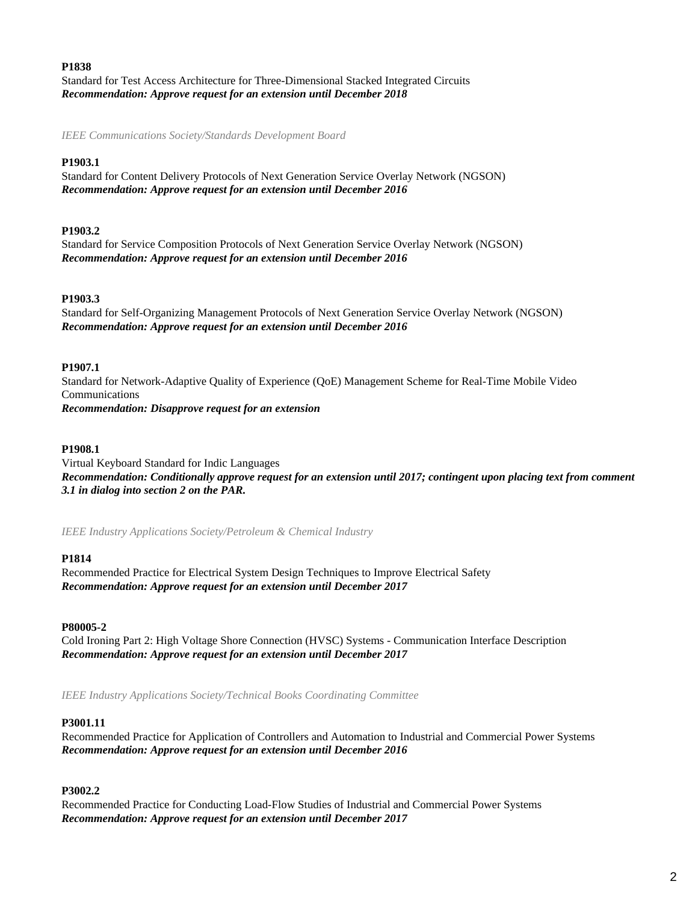#### **P1838**

Standard for Test Access Architecture for Three-Dimensional Stacked Integrated Circuits *Recommendation: Approve request for an extension until December 2018*

*IEEE Communications Society/Standards Development Board*

### **P1903.1**

Standard for Content Delivery Protocols of Next Generation Service Overlay Network (NGSON) *Recommendation: Approve request for an extension until December 2016*

#### **P1903.2**

Standard for Service Composition Protocols of Next Generation Service Overlay Network (NGSON) *Recommendation: Approve request for an extension until December 2016*

### **P1903.3**

Standard for Self-Organizing Management Protocols of Next Generation Service Overlay Network (NGSON) *Recommendation: Approve request for an extension until December 2016*

#### **P1907.1**

Standard for Network-Adaptive Quality of Experience (QoE) Management Scheme for Real-Time Mobile Video Communications *Recommendation: Disapprove request for an extension*

#### **P1908.1**

Virtual Keyboard Standard for Indic Languages *Recommendation: Conditionally approve request for an extension until 2017; contingent upon placing text from comment 3.1 in dialog into section 2 on the PAR.*

*IEEE Industry Applications Society/Petroleum & Chemical Industry*

#### **P1814**

Recommended Practice for Electrical System Design Techniques to Improve Electrical Safety *Recommendation: Approve request for an extension until December 2017*

#### **P80005-2**

Cold Ironing Part 2: High Voltage Shore Connection (HVSC) Systems - Communication Interface Description *Recommendation: Approve request for an extension until December 2017*

*IEEE Industry Applications Society/Technical Books Coordinating Committee*

#### **P3001.11**

Recommended Practice for Application of Controllers and Automation to Industrial and Commercial Power Systems *Recommendation: Approve request for an extension until December 2016*

#### **P3002.2**

Recommended Practice for Conducting Load-Flow Studies of Industrial and Commercial Power Systems *Recommendation: Approve request for an extension until December 2017*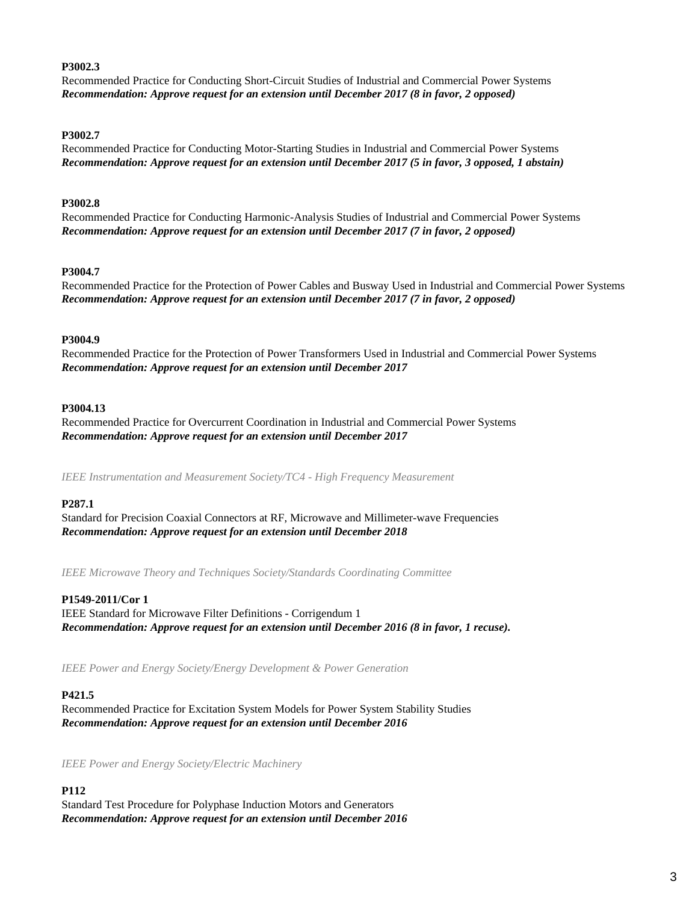#### **P3002.3**

Recommended Practice for Conducting Short-Circuit Studies of Industrial and Commercial Power Systems *Recommendation: Approve request for an extension until December 2017 (8 in favor, 2 opposed)*

#### **P3002.7**

Recommended Practice for Conducting Motor-Starting Studies in Industrial and Commercial Power Systems *Recommendation: Approve request for an extension until December 2017 (5 in favor, 3 opposed, 1 abstain)*

#### **P3002.8**

Recommended Practice for Conducting Harmonic-Analysis Studies of Industrial and Commercial Power Systems *Recommendation: Approve request for an extension until December 2017 (7 in favor, 2 opposed)*

#### **P3004.7**

Recommended Practice for the Protection of Power Cables and Busway Used in Industrial and Commercial Power Systems *Recommendation: Approve request for an extension until December 2017 (7 in favor, 2 opposed)*

#### **P3004.9**

Recommended Practice for the Protection of Power Transformers Used in Industrial and Commercial Power Systems *Recommendation: Approve request for an extension until December 2017*

#### **P3004.13**

Recommended Practice for Overcurrent Coordination in Industrial and Commercial Power Systems *Recommendation: Approve request for an extension until December 2017*

*IEEE Instrumentation and Measurement Society/TC4 - High Frequency Measurement*

#### **P287.1**

Standard for Precision Coaxial Connectors at RF, Microwave and Millimeter-wave Frequencies *Recommendation: Approve request for an extension until December 2018*

*IEEE Microwave Theory and Techniques Society/Standards Coordinating Committee*

#### **P1549-2011/Cor 1**

IEEE Standard for Microwave Filter Definitions - Corrigendum 1 *Recommendation: Approve request for an extension until December 2016 (8 in favor, 1 recuse).*

*IEEE Power and Energy Society/Energy Development & Power Generation*

#### **P421.5**

Recommended Practice for Excitation System Models for Power System Stability Studies *Recommendation: Approve request for an extension until December 2016*

*IEEE Power and Energy Society/Electric Machinery*

#### **P112**

Standard Test Procedure for Polyphase Induction Motors and Generators *Recommendation: Approve request for an extension until December 2016*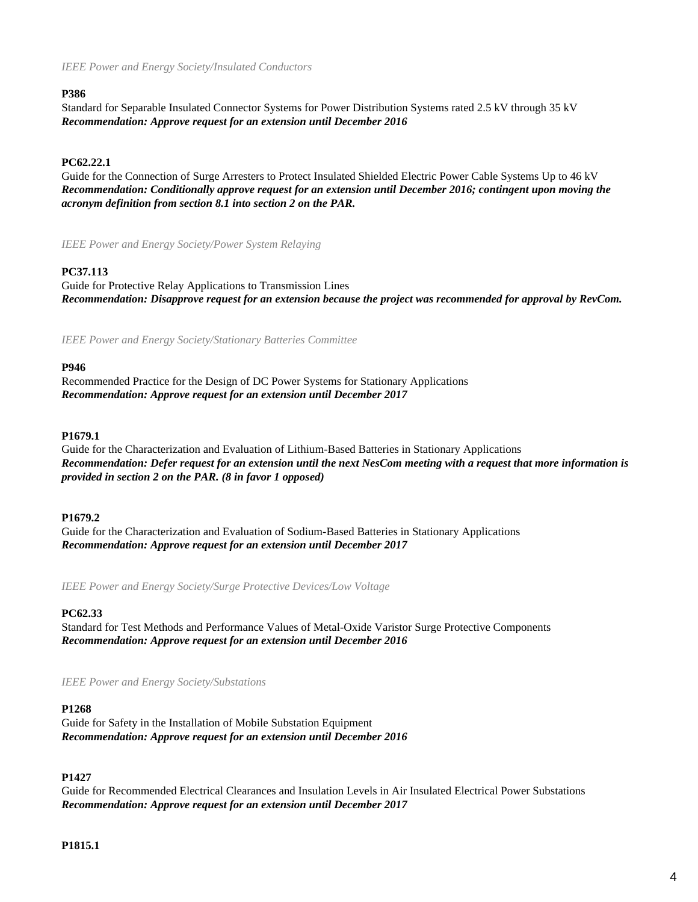#### **P386**

Standard for Separable Insulated Connector Systems for Power Distribution Systems rated 2.5 kV through 35 kV *Recommendation: Approve request for an extension until December 2016*

#### **PC62.22.1**

Guide for the Connection of Surge Arresters to Protect Insulated Shielded Electric Power Cable Systems Up to 46 kV *Recommendation: Conditionally approve request for an extension until December 2016; contingent upon moving the acronym definition from section 8.1 into section 2 on the PAR.*

*IEEE Power and Energy Society/Power System Relaying*

#### **PC37.113**

Guide for Protective Relay Applications to Transmission Lines *Recommendation: Disapprove request for an extension because the project was recommended for approval by RevCom.*

*IEEE Power and Energy Society/Stationary Batteries Committee*

#### **P946**

Recommended Practice for the Design of DC Power Systems for Stationary Applications *Recommendation: Approve request for an extension until December 2017*

#### **P1679.1**

Guide for the Characterization and Evaluation of Lithium-Based Batteries in Stationary Applications *Recommendation: Defer request for an extension until the next NesCom meeting with a request that more information is provided in section 2 on the PAR. (8 in favor 1 opposed)*

#### **P1679.2**

Guide for the Characterization and Evaluation of Sodium-Based Batteries in Stationary Applications *Recommendation: Approve request for an extension until December 2017*

*IEEE Power and Energy Society/Surge Protective Devices/Low Voltage*

#### **PC62.33**

Standard for Test Methods and Performance Values of Metal-Oxide Varistor Surge Protective Components *Recommendation: Approve request for an extension until December 2016*

*IEEE Power and Energy Society/Substations*

#### **P1268**

Guide for Safety in the Installation of Mobile Substation Equipment *Recommendation: Approve request for an extension until December 2016*

#### **P1427**

Guide for Recommended Electrical Clearances and Insulation Levels in Air Insulated Electrical Power Substations *Recommendation: Approve request for an extension until December 2017*

#### **P1815.1**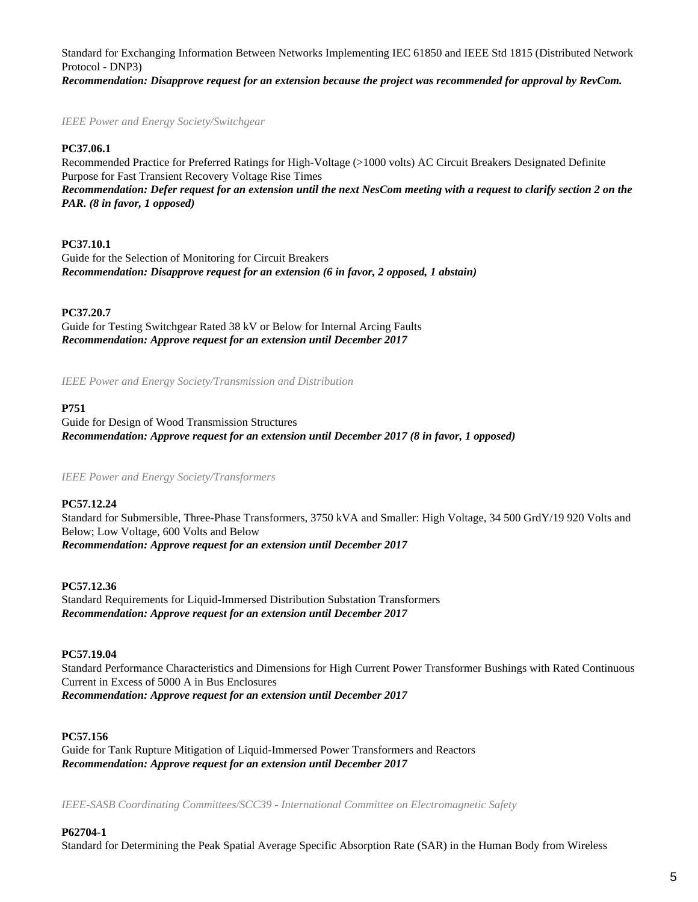Standard for Exchanging Information Between Networks Implementing IEC 61850 and IEEE Std 1815 (Distributed Network Protocol - DNP3) *Recommendation: Disapprove request for an extension because the project was recommended for approval by RevCom.*

*IEEE Power and Energy Society/Switchgear*

#### **PC37.06.1**

Recommended Practice for Preferred Ratings for High-Voltage (>1000 volts) AC Circuit Breakers Designated Definite Purpose for Fast Transient Recovery Voltage Rise Times *Recommendation: Defer request for an extension until the next NesCom meeting with a request to clarify section 2 on the PAR. (8 in favor, 1 opposed)*

#### **PC37.10.1**

Guide for the Selection of Monitoring for Circuit Breakers *Recommendation: Disapprove request for an extension (6 in favor, 2 opposed, 1 abstain)*

#### **PC37.20.7**

Guide for Testing Switchgear Rated 38 kV or Below for Internal Arcing Faults *Recommendation: Approve request for an extension until December 2017*

*IEEE Power and Energy Society/Transmission and Distribution*

#### **P751**

Guide for Design of Wood Transmission Structures *Recommendation: Approve request for an extension until December 2017 (8 in favor, 1 opposed)*

*IEEE Power and Energy Society/Transformers*

#### **PC57.12.24**

Standard for Submersible, Three-Phase Transformers, 3750 kVA and Smaller: High Voltage, 34 500 GrdY/19 920 Volts and Below; Low Voltage, 600 Volts and Below *Recommendation: Approve request for an extension until December 2017*

#### **PC57.12.36**

Standard Requirements for Liquid-Immersed Distribution Substation Transformers *Recommendation: Approve request for an extension until December 2017*

#### **PC57.19.04**

Standard Performance Characteristics and Dimensions for High Current Power Transformer Bushings with Rated Continuous Current in Excess of 5000 A in Bus Enclosures *Recommendation: Approve request for an extension until December 2017*

#### **PC57.156**

Guide for Tank Rupture Mitigation of Liquid-Immersed Power Transformers and Reactors *Recommendation: Approve request for an extension until December 2017*

*IEEE-SASB Coordinating Committees/SCC39 - International Committee on Electromagnetic Safety*

#### **P62704-1**

Standard for Determining the Peak Spatial Average Specific Absorption Rate (SAR) in the Human Body from Wireless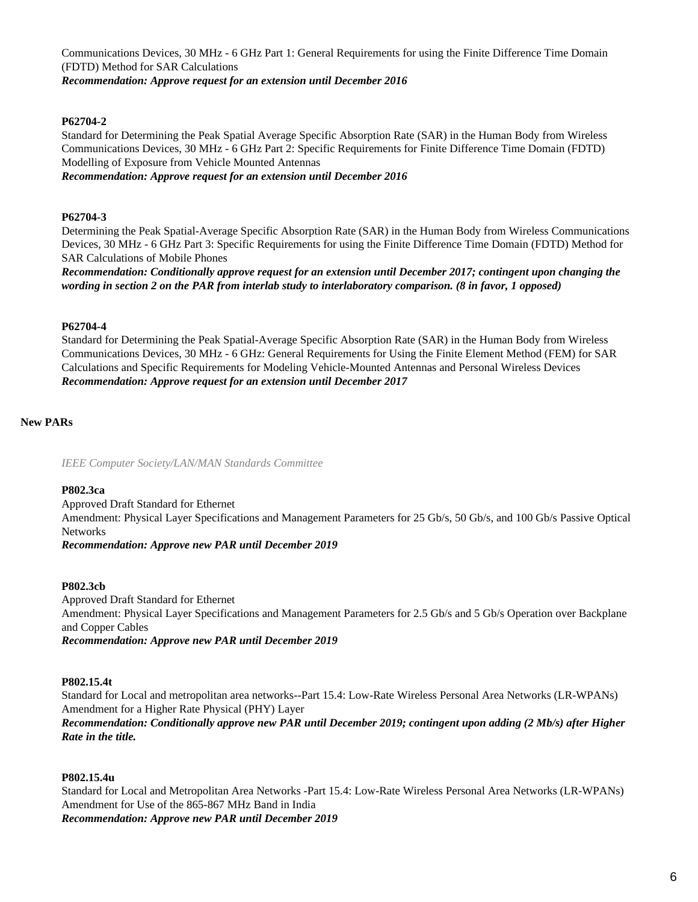Communications Devices, 30 MHz - 6 GHz Part 1: General Requirements for using the Finite Difference Time Domain (FDTD) Method for SAR Calculations

*Recommendation: Approve request for an extension until December 2016*

## **P62704-2**

Standard for Determining the Peak Spatial Average Specific Absorption Rate (SAR) in the Human Body from Wireless Communications Devices, 30 MHz - 6 GHz Part 2: Specific Requirements for Finite Difference Time Domain (FDTD) Modelling of Exposure from Vehicle Mounted Antennas

*Recommendation: Approve request for an extension until December 2016*

#### **P62704-3**

Determining the Peak Spatial-Average Specific Absorption Rate (SAR) in the Human Body from Wireless Communications Devices, 30 MHz - 6 GHz Part 3: Specific Requirements for using the Finite Difference Time Domain (FDTD) Method for SAR Calculations of Mobile Phones

*Recommendation: Conditionally approve request for an extension until December 2017; contingent upon changing the wording in section 2 on the PAR from interlab study to interlaboratory comparison. (8 in favor, 1 opposed)*

#### **P62704-4**

Standard for Determining the Peak Spatial-Average Specific Absorption Rate (SAR) in the Human Body from Wireless Communications Devices, 30 MHz - 6 GHz: General Requirements for Using the Finite Element Method (FEM) for SAR Calculations and Specific Requirements for Modeling Vehicle-Mounted Antennas and Personal Wireless Devices *Recommendation: Approve request for an extension until December 2017*

### **New PARs**

*IEEE Computer Society/LAN/MAN Standards Committee*

#### **P802.3ca**

Approved Draft Standard for Ethernet Amendment: Physical Layer Specifications and Management Parameters for 25 Gb/s, 50 Gb/s, and 100 Gb/s Passive Optical Networks

*Recommendation: Approve new PAR until December 2019*

#### **P802.3cb**

Approved Draft Standard for Ethernet Amendment: Physical Layer Specifications and Management Parameters for 2.5 Gb/s and 5 Gb/s Operation over Backplane and Copper Cables *Recommendation: Approve new PAR until December 2019*

#### **P802.15.4t**

Standard for Local and metropolitan area networks--Part 15.4: Low-Rate Wireless Personal Area Networks (LR-WPANs) Amendment for a Higher Rate Physical (PHY) Layer *Recommendation: Conditionally approve new PAR until December 2019; contingent upon adding (2 Mb/s) after Higher Rate in the title.*

#### **P802.15.4u**

Standard for Local and Metropolitan Area Networks -Part 15.4: Low-Rate Wireless Personal Area Networks (LR-WPANs) Amendment for Use of the 865-867 MHz Band in India *Recommendation: Approve new PAR until December 2019*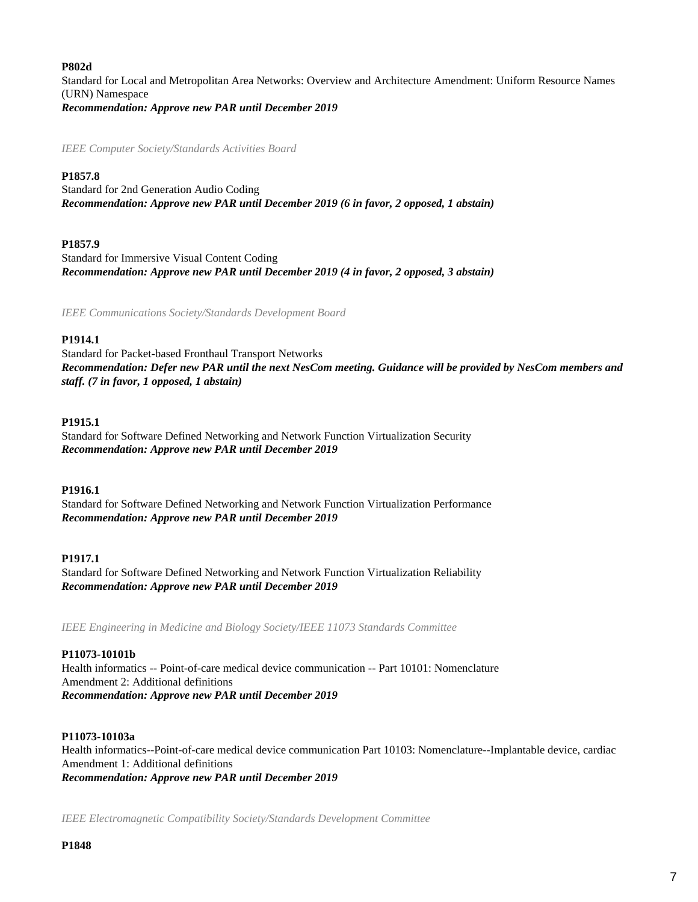#### **P802d**

Standard for Local and Metropolitan Area Networks: Overview and Architecture Amendment: Uniform Resource Names (URN) Namespace *Recommendation: Approve new PAR until December 2019*

*IEEE Computer Society/Standards Activities Board*

#### **P1857.8**

Standard for 2nd Generation Audio Coding *Recommendation: Approve new PAR until December 2019 (6 in favor, 2 opposed, 1 abstain)*

#### **P1857.9**

Standard for Immersive Visual Content Coding *Recommendation: Approve new PAR until December 2019 (4 in favor, 2 opposed, 3 abstain)*

*IEEE Communications Society/Standards Development Board*

#### **P1914.1**

Standard for Packet-based Fronthaul Transport Networks *Recommendation: Defer new PAR until the next NesCom meeting. Guidance will be provided by NesCom members and staff. (7 in favor, 1 opposed, 1 abstain)*

#### **P1915.1**

Standard for Software Defined Networking and Network Function Virtualization Security *Recommendation: Approve new PAR until December 2019*

#### **P1916.1**

Standard for Software Defined Networking and Network Function Virtualization Performance *Recommendation: Approve new PAR until December 2019*

#### **P1917.1**

Standard for Software Defined Networking and Network Function Virtualization Reliability *Recommendation: Approve new PAR until December 2019*

*IEEE Engineering in Medicine and Biology Society/IEEE 11073 Standards Committee*

#### **P11073-10101b**

Health informatics -- Point-of-care medical device communication -- Part 10101: Nomenclature Amendment 2: Additional definitions *Recommendation: Approve new PAR until December 2019*

#### **P11073-10103a**

Health informatics--Point-of-care medical device communication Part 10103: Nomenclature--Implantable device, cardiac Amendment 1: Additional definitions *Recommendation: Approve new PAR until December 2019*

*IEEE Electromagnetic Compatibility Society/Standards Development Committee*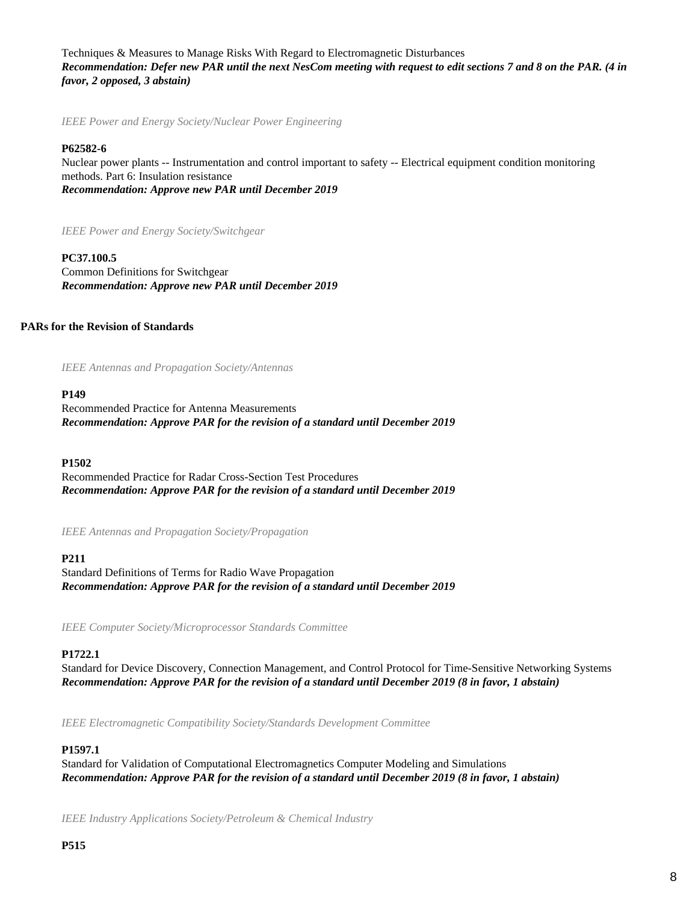Techniques & Measures to Manage Risks With Regard to Electromagnetic Disturbances *Recommendation: Defer new PAR until the next NesCom meeting with request to edit sections 7 and 8 on the PAR. (4 in favor, 2 opposed, 3 abstain)*

*IEEE Power and Energy Society/Nuclear Power Engineering*

#### **P62582-6**

Nuclear power plants -- Instrumentation and control important to safety -- Electrical equipment condition monitoring methods. Part 6: Insulation resistance *Recommendation: Approve new PAR until December 2019*

*IEEE Power and Energy Society/Switchgear*

#### **PC37.100.5**

Common Definitions for Switchgear *Recommendation: Approve new PAR until December 2019*

#### **PARs for the Revision of Standards**

*IEEE Antennas and Propagation Society/Antennas*

#### **P149**

Recommended Practice for Antenna Measurements *Recommendation: Approve PAR for the revision of a standard until December 2019*

#### **P1502**

Recommended Practice for Radar Cross-Section Test Procedures *Recommendation: Approve PAR for the revision of a standard until December 2019*

*IEEE Antennas and Propagation Society/Propagation*

#### **P211**

Standard Definitions of Terms for Radio Wave Propagation *Recommendation: Approve PAR for the revision of a standard until December 2019*

*IEEE Computer Society/Microprocessor Standards Committee*

#### **P1722.1**

Standard for Device Discovery, Connection Management, and Control Protocol for Time-Sensitive Networking Systems *Recommendation: Approve PAR for the revision of a standard until December 2019 (8 in favor, 1 abstain)*

*IEEE Electromagnetic Compatibility Society/Standards Development Committee*

#### **P1597.1**

Standard for Validation of Computational Electromagnetics Computer Modeling and Simulations *Recommendation: Approve PAR for the revision of a standard until December 2019 (8 in favor, 1 abstain)*

*IEEE Industry Applications Society/Petroleum & Chemical Industry*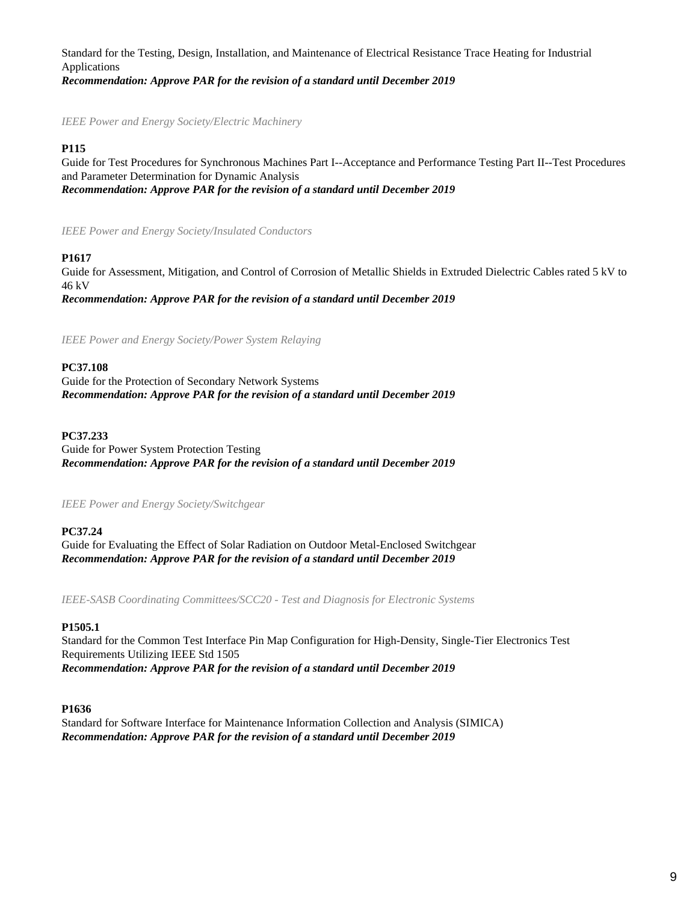Standard for the Testing, Design, Installation, and Maintenance of Electrical Resistance Trace Heating for Industrial Applications *Recommendation: Approve PAR for the revision of a standard until December 2019*

*IEEE Power and Energy Society/Electric Machinery*

#### **P115**

Guide for Test Procedures for Synchronous Machines Part I--Acceptance and Performance Testing Part II--Test Procedures and Parameter Determination for Dynamic Analysis *Recommendation: Approve PAR for the revision of a standard until December 2019*

*IEEE Power and Energy Society/Insulated Conductors*

### **P1617**

Guide for Assessment, Mitigation, and Control of Corrosion of Metallic Shields in Extruded Dielectric Cables rated 5 kV to 46 kV

*Recommendation: Approve PAR for the revision of a standard until December 2019*

*IEEE Power and Energy Society/Power System Relaying*

### **PC37.108**

Guide for the Protection of Secondary Network Systems *Recommendation: Approve PAR for the revision of a standard until December 2019*

**PC37.233**

Guide for Power System Protection Testing *Recommendation: Approve PAR for the revision of a standard until December 2019*

#### *IEEE Power and Energy Society/Switchgear*

#### **PC37.24**

Guide for Evaluating the Effect of Solar Radiation on Outdoor Metal-Enclosed Switchgear *Recommendation: Approve PAR for the revision of a standard until December 2019*

*IEEE-SASB Coordinating Committees/SCC20 - Test and Diagnosis for Electronic Systems*

#### **P1505.1**

Standard for the Common Test Interface Pin Map Configuration for High-Density, Single-Tier Electronics Test Requirements Utilizing IEEE Std 1505 *Recommendation: Approve PAR for the revision of a standard until December 2019*

#### **P1636**

Standard for Software Interface for Maintenance Information Collection and Analysis (SIMICA) *Recommendation: Approve PAR for the revision of a standard until December 2019*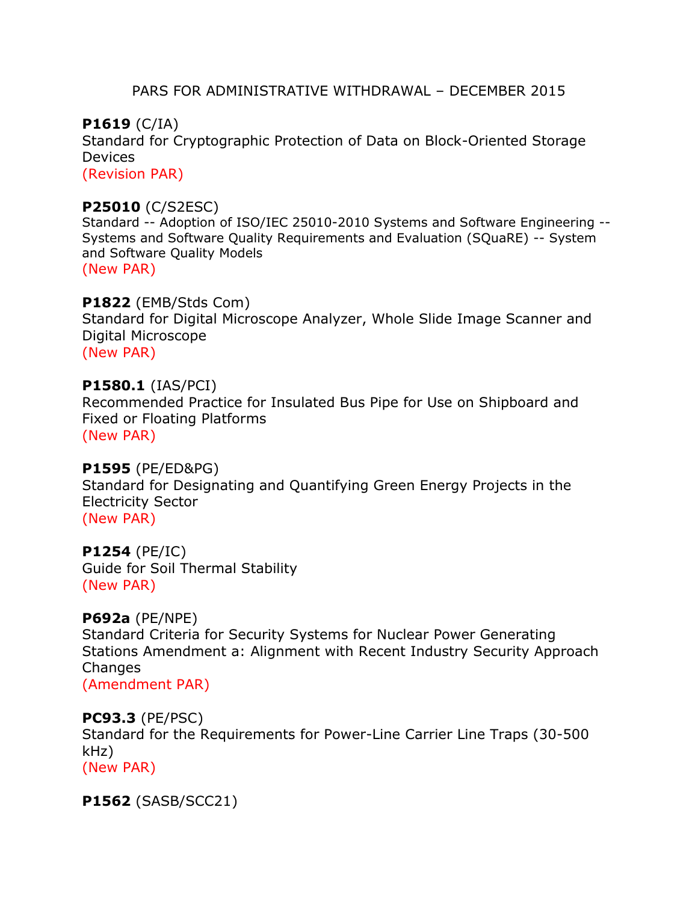# PARS FOR ADMINISTRATIVE WITHDRAWAL – DECEMBER 2015

**P1619** (C/IA) Standard for Cryptographic Protection of Data on Block-Oriented Storage Devices (Revision PAR)

# **P25010** (C/S2ESC)

Standard -- Adoption of ISO/IEC 25010-2010 Systems and Software Engineering -- Systems and Software Quality Requirements and Evaluation (SQuaRE) -- System and Software Quality Models (New PAR)

**P1822** (EMB/Stds Com) Standard for Digital Microscope Analyzer, Whole Slide Image Scanner and Digital Microscope (New PAR)

# **P1580.1** (IAS/PCI)

Recommended Practice for Insulated Bus Pipe for Use on Shipboard and Fixed or Floating Platforms (New PAR)

# **P1595** (PE/ED&PG)

Standard for Designating and Quantifying Green Energy Projects in the Electricity Sector (New PAR)

**P1254** (PE/IC) Guide for Soil Thermal Stability (New PAR)

# **P692a** (PE/NPE)

Standard Criteria for Security Systems for Nuclear Power Generating Stations Amendment a: Alignment with Recent Industry Security Approach **Changes** 

(Amendment PAR)

# **PC93.3** (PE/PSC)

Standard for the Requirements for Power-Line Carrier Line Traps (30-500 kHz) (New PAR)

**P1562** (SASB/SCC21)